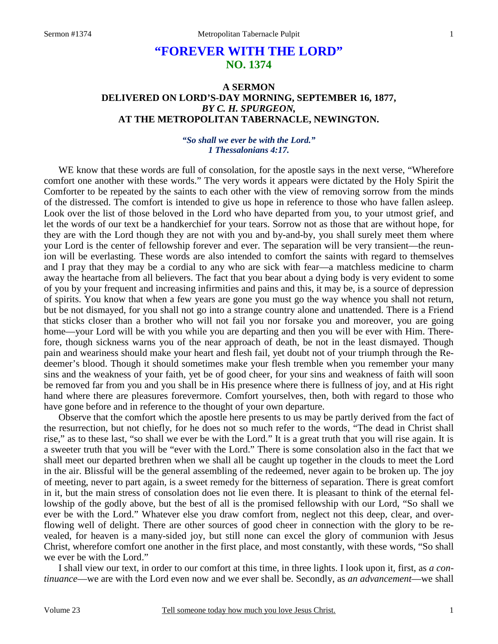# **"FOREVER WITH THE LORD" NO. 1374**

## **A SERMON DELIVERED ON LORD'S-DAY MORNING, SEPTEMBER 16, 1877,**  *BY C. H. SPURGEON,*  **AT THE METROPOLITAN TABERNACLE, NEWINGTON.**

#### *"So shall we ever be with the Lord." 1 Thessalonians 4:17.*

WE know that these words are full of consolation, for the apostle says in the next verse, "Wherefore comfort one another with these words." The very words it appears were dictated by the Holy Spirit the Comforter to be repeated by the saints to each other with the view of removing sorrow from the minds of the distressed. The comfort is intended to give us hope in reference to those who have fallen asleep. Look over the list of those beloved in the Lord who have departed from you, to your utmost grief, and let the words of our text be a handkerchief for your tears. Sorrow not as those that are without hope, for they are with the Lord though they are not with you and by-and-by, you shall surely meet them where your Lord is the center of fellowship forever and ever. The separation will be very transient—the reunion will be everlasting. These words are also intended to comfort the saints with regard to themselves and I pray that they may be a cordial to any who are sick with fear—a matchless medicine to charm away the heartache from all believers. The fact that you bear about a dying body is very evident to some of you by your frequent and increasing infirmities and pains and this, it may be, is a source of depression of spirits. You know that when a few years are gone you must go the way whence you shall not return, but be not dismayed, for you shall not go into a strange country alone and unattended. There is a Friend that sticks closer than a brother who will not fail you nor forsake you and moreover, you are going home—your Lord will be with you while you are departing and then you will be ever with Him. Therefore, though sickness warns you of the near approach of death, be not in the least dismayed. Though pain and weariness should make your heart and flesh fail, yet doubt not of your triumph through the Redeemer's blood. Though it should sometimes make your flesh tremble when you remember your many sins and the weakness of your faith, yet be of good cheer, for your sins and weakness of faith will soon be removed far from you and you shall be in His presence where there is fullness of joy, and at His right hand where there are pleasures forevermore. Comfort yourselves, then, both with regard to those who have gone before and in reference to the thought of your own departure.

Observe that the comfort which the apostle here presents to us may be partly derived from the fact of the resurrection, but not chiefly, for he does not so much refer to the words, "The dead in Christ shall rise," as to these last, "so shall we ever be with the Lord." It is a great truth that you will rise again. It is a sweeter truth that you will be "ever with the Lord." There is some consolation also in the fact that we shall meet our departed brethren when we shall all be caught up together in the clouds to meet the Lord in the air. Blissful will be the general assembling of the redeemed, never again to be broken up. The joy of meeting, never to part again, is a sweet remedy for the bitterness of separation. There is great comfort in it, but the main stress of consolation does not lie even there. It is pleasant to think of the eternal fellowship of the godly above, but the best of all is the promised fellowship with our Lord, "So shall we ever be with the Lord." Whatever else you draw comfort from, neglect not this deep, clear, and overflowing well of delight. There are other sources of good cheer in connection with the glory to be revealed, for heaven is a many-sided joy, but still none can excel the glory of communion with Jesus Christ, wherefore comfort one another in the first place, and most constantly, with these words, "So shall we ever be with the Lord."

I shall view our text, in order to our comfort at this time, in three lights. I look upon it, first, as *a continuance*—we are with the Lord even now and we ever shall be. Secondly, as *an advancement*—we shall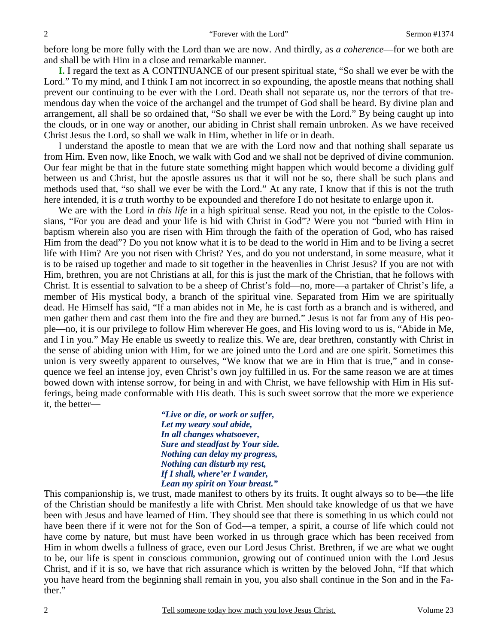before long be more fully with the Lord than we are now. And thirdly, as *a coherence*—for we both are and shall be with Him in a close and remarkable manner.

**I.** I regard the text as A CONTINUANCE of our present spiritual state, "So shall we ever be with the Lord." To my mind, and I think I am not incorrect in so expounding, the apostle means that nothing shall prevent our continuing to be ever with the Lord. Death shall not separate us, nor the terrors of that tremendous day when the voice of the archangel and the trumpet of God shall be heard. By divine plan and arrangement, all shall be so ordained that, "So shall we ever be with the Lord." By being caught up into the clouds, or in one way or another, our abiding in Christ shall remain unbroken. As we have received Christ Jesus the Lord, so shall we walk in Him, whether in life or in death.

I understand the apostle to mean that we are with the Lord now and that nothing shall separate us from Him. Even now, like Enoch, we walk with God and we shall not be deprived of divine communion. Our fear might be that in the future state something might happen which would become a dividing gulf between us and Christ, but the apostle assures us that it will not be so, there shall be such plans and methods used that, "so shall we ever be with the Lord." At any rate, I know that if this is not the truth here intended, it is *a* truth worthy to be expounded and therefore I do not hesitate to enlarge upon it.

We are with the Lord *in this life* in a high spiritual sense. Read you not, in the epistle to the Colossians, "For you are dead and your life is hid with Christ in God"? Were you not "buried with Him in baptism wherein also you are risen with Him through the faith of the operation of God, who has raised Him from the dead"? Do you not know what it is to be dead to the world in Him and to be living a secret life with Him? Are you not risen with Christ? Yes, and do you not understand, in some measure, what it is to be raised up together and made to sit together in the heavenlies in Christ Jesus? If you are not with Him, brethren, you are not Christians at all, for this is just the mark of the Christian, that he follows with Christ. It is essential to salvation to be a sheep of Christ's fold—no, more—a partaker of Christ's life, a member of His mystical body, a branch of the spiritual vine. Separated from Him we are spiritually dead. He Himself has said, "If a man abides not in Me, he is cast forth as a branch and is withered, and men gather them and cast them into the fire and they are burned." Jesus is not far from any of His people—no, it is our privilege to follow Him wherever He goes, and His loving word to us is, "Abide in Me, and I in you." May He enable us sweetly to realize this. We are, dear brethren, constantly with Christ in the sense of abiding union with Him, for we are joined unto the Lord and are one spirit. Sometimes this union is very sweetly apparent to ourselves, "We know that we are in Him that is true," and in consequence we feel an intense joy, even Christ's own joy fulfilled in us. For the same reason we are at times bowed down with intense sorrow, for being in and with Christ, we have fellowship with Him in His sufferings, being made conformable with His death. This is such sweet sorrow that the more we experience it, the better—

> *"Live or die, or work or suffer, Let my weary soul abide, In all changes whatsoever, Sure and steadfast by Your side. Nothing can delay my progress, Nothing can disturb my rest, If I shall, where'er I wander, Lean my spirit on Your breast."*

This companionship is, we trust, made manifest to others by its fruits. It ought always so to be—the life of the Christian should be manifestly a life with Christ. Men should take knowledge of us that we have been with Jesus and have learned of Him. They should see that there is something in us which could not have been there if it were not for the Son of God—a temper, a spirit, a course of life which could not have come by nature, but must have been worked in us through grace which has been received from Him in whom dwells a fullness of grace, even our Lord Jesus Christ. Brethren, if we are what we ought to be, our life is spent in conscious communion, growing out of continued union with the Lord Jesus Christ, and if it is so, we have that rich assurance which is written by the beloved John, "If that which you have heard from the beginning shall remain in you, you also shall continue in the Son and in the Father."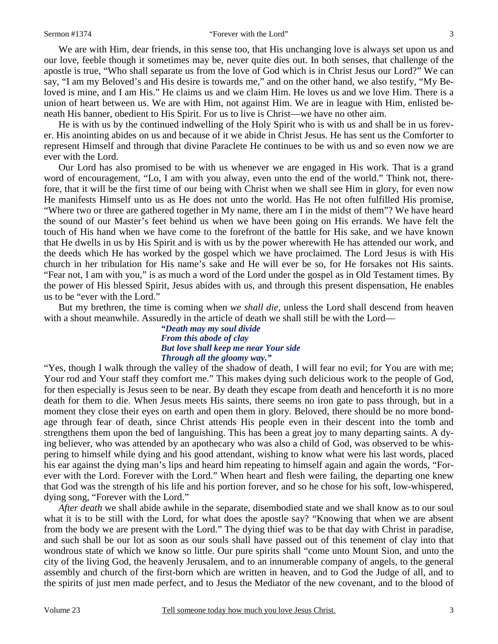We are with Him, dear friends, in this sense too, that His unchanging love is always set upon us and our love, feeble though it sometimes may be, never quite dies out. In both senses, that challenge of the apostle is true, "Who shall separate us from the love of God which is in Christ Jesus our Lord?" We can say, "I am my Beloved's and His desire is towards me," and on the other hand, we also testify, "My Beloved is mine, and I am His." He claims us and we claim Him. He loves us and we love Him. There is a union of heart between us. We are with Him, not against Him. We are in league with Him, enlisted beneath His banner, obedient to His Spirit. For us to live is Christ—we have no other aim.

He is with us by the continued indwelling of the Holy Spirit who is with us and shall be in us forever. His anointing abides on us and because of it we abide in Christ Jesus. He has sent us the Comforter to represent Himself and through that divine Paraclete He continues to be with us and so even now we are ever with the Lord.

Our Lord has also promised to be with us whenever we are engaged in His work. That is a grand word of encouragement, "Lo, I am with you alway, even unto the end of the world." Think not, therefore, that it will be the first time of our being with Christ when we shall see Him in glory, for even now He manifests Himself unto us as He does not unto the world. Has He not often fulfilled His promise, "Where two or three are gathered together in My name, there am I in the midst of them"? We have heard the sound of our Master's feet behind us when we have been going on His errands. We have felt the touch of His hand when we have come to the forefront of the battle for His sake, and we have known that He dwells in us by His Spirit and is with us by the power wherewith He has attended our work, and the deeds which He has worked by the gospel which we have proclaimed. The Lord Jesus is with His church in her tribulation for His name's sake and He will ever be so, for He forsakes not His saints. "Fear not, I am with you," is as much a word of the Lord under the gospel as in Old Testament times. By the power of His blessed Spirit, Jesus abides with us, and through this present dispensation, He enables us to be "ever with the Lord."

But my brethren, the time is coming when *we shall die,* unless the Lord shall descend from heaven with a shout meanwhile. Assuredly in the article of death we shall still be with the Lord—

> *"Death may my soul divide From this abode of clay But love shall keep me near Your side Through all the gloomy way."*

"Yes, though I walk through the valley of the shadow of death, I will fear no evil; for You are with me; Your rod and Your staff they comfort me." This makes dying such delicious work to the people of God, for then especially is Jesus seen to be near. By death they escape from death and henceforth it is no more death for them to die. When Jesus meets His saints, there seems no iron gate to pass through, but in a moment they close their eyes on earth and open them in glory. Beloved, there should be no more bondage through fear of death, since Christ attends His people even in their descent into the tomb and strengthens them upon the bed of languishing. This has been a great joy to many departing saints. A dying believer, who was attended by an apothecary who was also a child of God, was observed to be whispering to himself while dying and his good attendant, wishing to know what were his last words, placed his ear against the dying man's lips and heard him repeating to himself again and again the words, "Forever with the Lord. Forever with the Lord." When heart and flesh were failing, the departing one knew that God was the strength of his life and his portion forever, and so he chose for his soft, low-whispered, dying song, "Forever with the Lord."

*After death* we shall abide awhile in the separate, disembodied state and we shall know as to our soul what it is to be still with the Lord, for what does the apostle say? "Knowing that when we are absent from the body we are present with the Lord." The dying thief was to be that day with Christ in paradise, and such shall be our lot as soon as our souls shall have passed out of this tenement of clay into that wondrous state of which we know so little. Our pure spirits shall "come unto Mount Sion, and unto the city of the living God, the heavenly Jerusalem, and to an innumerable company of angels, to the general assembly and church of the first-born which are written in heaven, and to God the Judge of all, and to the spirits of just men made perfect, and to Jesus the Mediator of the new covenant, and to the blood of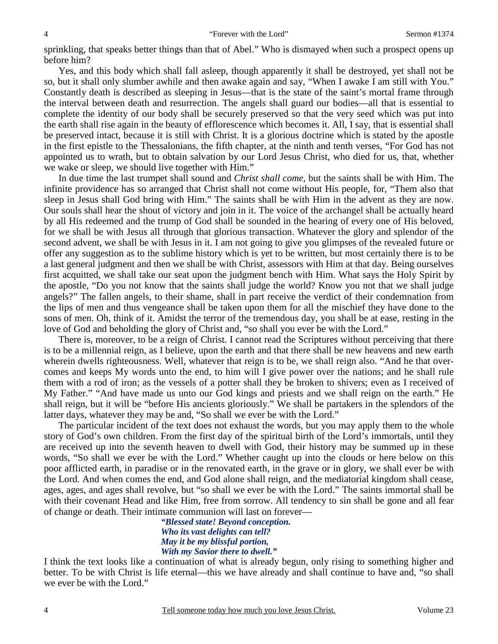sprinkling, that speaks better things than that of Abel." Who is dismayed when such a prospect opens up before him?

Yes, and this body which shall fall asleep, though apparently it shall be destroyed, yet shall not be so, but it shall only slumber awhile and then awake again and say, "When I awake I am still with You." Constantly death is described as sleeping in Jesus—that is the state of the saint's mortal frame through the interval between death and resurrection. The angels shall guard our bodies—all that is essential to complete the identity of our body shall be securely preserved so that the very seed which was put into the earth shall rise again in the beauty of efflorescence which becomes it. All, I say, that is essential shall be preserved intact, because it is still with Christ. It is a glorious doctrine which is stated by the apostle in the first epistle to the Thessalonians, the fifth chapter, at the ninth and tenth verses, "For God has not appointed us to wrath, but to obtain salvation by our Lord Jesus Christ, who died for us, that, whether we wake or sleep, we should live together with Him."

In due time the last trumpet shall sound and *Christ shall come,* but the saints shall be with Him. The infinite providence has so arranged that Christ shall not come without His people, for, "Them also that sleep in Jesus shall God bring with Him." The saints shall be with Him in the advent as they are now. Our souls shall hear the shout of victory and join in it. The voice of the archangel shall be actually heard by all His redeemed and the trump of God shall be sounded in the hearing of every one of His beloved, for we shall be with Jesus all through that glorious transaction. Whatever the glory and splendor of the second advent, we shall be with Jesus in it. I am not going to give you glimpses of the revealed future or offer any suggestion as to the sublime history which is yet to be written, but most certainly there is to be a last general judgment and then we shall be with Christ, assessors with Him at that day. Being ourselves first acquitted, we shall take our seat upon the judgment bench with Him. What says the Holy Spirit by the apostle, "Do you not know that the saints shall judge the world? Know you not that we shall judge angels?" The fallen angels, to their shame, shall in part receive the verdict of their condemnation from the lips of men and thus vengeance shall be taken upon them for all the mischief they have done to the sons of men. Oh, think of it. Amidst the terror of the tremendous day, you shall be at ease, resting in the love of God and beholding the glory of Christ and, "so shall you ever be with the Lord."

There is, moreover, to be a reign of Christ. I cannot read the Scriptures without perceiving that there is to be a millennial reign, as I believe, upon the earth and that there shall be new heavens and new earth wherein dwells righteousness. Well, whatever that reign is to be, we shall reign also. "And he that overcomes and keeps My words unto the end, to him will I give power over the nations; and he shall rule them with a rod of iron; as the vessels of a potter shall they be broken to shivers; even as I received of My Father." "And have made us unto our God kings and priests and we shall reign on the earth." He shall reign, but it will be "before His ancients gloriously." We shall be partakers in the splendors of the latter days, whatever they may be and, "So shall we ever be with the Lord."

The particular incident of the text does not exhaust the words, but you may apply them to the whole story of God's own children. From the first day of the spiritual birth of the Lord's immortals, until they are received up into the seventh heaven to dwell with God, their history may be summed up in these words, "So shall we ever be with the Lord." Whether caught up into the clouds or here below on this poor afflicted earth, in paradise or in the renovated earth, in the grave or in glory, we shall ever be with the Lord. And when comes the end, and God alone shall reign, and the mediatorial kingdom shall cease, ages, ages, and ages shall revolve, but "so shall we ever be with the Lord." The saints immortal shall be with their covenant Head and like Him, free from sorrow. All tendency to sin shall be gone and all fear of change or death. Their intimate communion will last on forever—

> *"Blessed state! Beyond conception. Who its vast delights can tell? May it be my blissful portion, With my Savior there to dwell."*

I think the text looks like a continuation of what is already begun, only rising to something higher and better. To be with Christ is life eternal—this we have already and shall continue to have and, "so shall we ever be with the Lord."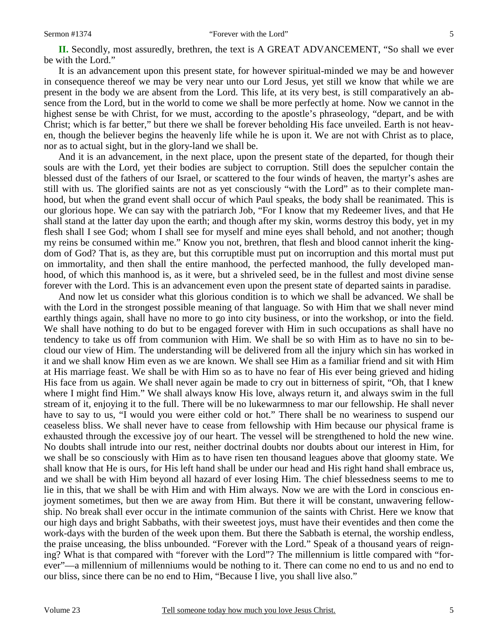**II.** Secondly, most assuredly, brethren, the text is A GREAT ADVANCEMENT, "So shall we ever be with the Lord."

It is an advancement upon this present state, for however spiritual-minded we may be and however in consequence thereof we may be very near unto our Lord Jesus, yet still we know that while we are present in the body we are absent from the Lord. This life, at its very best, is still comparatively an absence from the Lord, but in the world to come we shall be more perfectly at home. Now we cannot in the highest sense be with Christ, for we must, according to the apostle's phraseology, "depart, and be with Christ; which is far better," but there we shall be forever beholding His face unveiled. Earth is not heaven, though the believer begins the heavenly life while he is upon it. We are not with Christ as to place, nor as to actual sight, but in the glory-land we shall be.

And it is an advancement, in the next place, upon the present state of the departed, for though their souls are with the Lord, yet their bodies are subject to corruption. Still does the sepulcher contain the blessed dust of the fathers of our Israel, or scattered to the four winds of heaven, the martyr's ashes are still with us. The glorified saints are not as yet consciously "with the Lord" as to their complete manhood, but when the grand event shall occur of which Paul speaks, the body shall be reanimated. This is our glorious hope. We can say with the patriarch Job, "For I know that my Redeemer lives, and that He shall stand at the latter day upon the earth; and though after my skin, worms destroy this body, yet in my flesh shall I see God; whom I shall see for myself and mine eyes shall behold, and not another; though my reins be consumed within me." Know you not, brethren, that flesh and blood cannot inherit the kingdom of God? That is, as they are, but this corruptible must put on incorruption and this mortal must put on immortality, and then shall the entire manhood, the perfected manhood, the fully developed manhood, of which this manhood is, as it were, but a shriveled seed, be in the fullest and most divine sense forever with the Lord. This is an advancement even upon the present state of departed saints in paradise.

And now let us consider what this glorious condition is to which we shall be advanced. We shall be with the Lord in the strongest possible meaning of that language. So with Him that we shall never mind earthly things again, shall have no more to go into city business, or into the workshop, or into the field. We shall have nothing to do but to be engaged forever with Him in such occupations as shall have no tendency to take us off from communion with Him. We shall be so with Him as to have no sin to becloud our view of Him. The understanding will be delivered from all the injury which sin has worked in it and we shall know Him even as we are known. We shall see Him as a familiar friend and sit with Him at His marriage feast. We shall be with Him so as to have no fear of His ever being grieved and hiding His face from us again. We shall never again be made to cry out in bitterness of spirit, "Oh, that I knew where I might find Him." We shall always know His love, always return it, and always swim in the full stream of it, enjoying it to the full. There will be no lukewarmness to mar our fellowship. He shall never have to say to us, "I would you were either cold or hot." There shall be no weariness to suspend our ceaseless bliss. We shall never have to cease from fellowship with Him because our physical frame is exhausted through the excessive joy of our heart. The vessel will be strengthened to hold the new wine. No doubts shall intrude into our rest, neither doctrinal doubts nor doubts about our interest in Him, for we shall be so consciously with Him as to have risen ten thousand leagues above that gloomy state. We shall know that He is ours, for His left hand shall be under our head and His right hand shall embrace us, and we shall be with Him beyond all hazard of ever losing Him. The chief blessedness seems to me to lie in this, that we shall be with Him and with Him always. Now we are with the Lord in conscious enjoyment sometimes, but then we are away from Him. But there it will be constant, unwavering fellowship. No break shall ever occur in the intimate communion of the saints with Christ. Here we know that our high days and bright Sabbaths, with their sweetest joys, must have their eventides and then come the work-days with the burden of the week upon them. But there the Sabbath is eternal, the worship endless, the praise unceasing, the bliss unbounded. "Forever with the Lord." Speak of a thousand years of reigning? What is that compared with "forever with the Lord"? The millennium is little compared with "forever"—a millennium of millenniums would be nothing to it. There can come no end to us and no end to our bliss, since there can be no end to Him, "Because I live, you shall live also."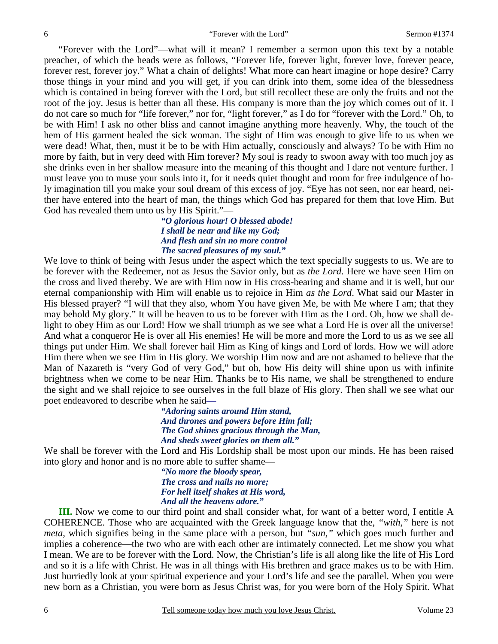"Forever with the Lord"—what will it mean? I remember a sermon upon this text by a notable preacher, of which the heads were as follows, "Forever life, forever light, forever love, forever peace, forever rest, forever joy." What a chain of delights! What more can heart imagine or hope desire? Carry those things in your mind and you will get, if you can drink into them, some idea of the blessedness which is contained in being forever with the Lord, but still recollect these are only the fruits and not the root of the joy. Jesus is better than all these. His company is more than the joy which comes out of it. I do not care so much for "life forever," nor for, "light forever," as I do for "forever with the Lord." Oh, to be with Him! I ask no other bliss and cannot imagine anything more heavenly. Why, the touch of the hem of His garment healed the sick woman. The sight of Him was enough to give life to us when we were dead! What, then, must it be to be with Him actually, consciously and always? To be with Him no more by faith, but in very deed with Him forever? My soul is ready to swoon away with too much joy as she drinks even in her shallow measure into the meaning of this thought and I dare not venture further. I must leave you to muse your souls into it, for it needs quiet thought and room for free indulgence of holy imagination till you make your soul dream of this excess of joy. "Eye has not seen, nor ear heard, neither have entered into the heart of man, the things which God has prepared for them that love Him. But God has revealed them unto us by His Spirit."—

> *"O glorious hour! O blessed abode! I shall be near and like my God; And flesh and sin no more control The sacred pleasures of my soul."*

We love to think of being with Jesus under the aspect which the text specially suggests to us. We are to be forever with the Redeemer, not as Jesus the Savior only, but as *the Lord*. Here we have seen Him on the cross and lived thereby. We are with Him now in His cross-bearing and shame and it is well, but our eternal companionship with Him will enable us to rejoice in Him *as the Lord*. What said our Master in His blessed prayer? "I will that they also, whom You have given Me, be with Me where I am; that they may behold My glory." It will be heaven to us to be forever with Him as the Lord. Oh, how we shall delight to obey Him as our Lord! How we shall triumph as we see what a Lord He is over all the universe! And what a conqueror He is over all His enemies! He will be more and more the Lord to us as we see all things put under Him. We shall forever hail Him as King of kings and Lord of lords. How we will adore Him there when we see Him in His glory. We worship Him now and are not ashamed to believe that the Man of Nazareth is "very God of very God," but oh, how His deity will shine upon us with infinite brightness when we come to be near Him. Thanks be to His name, we shall be strengthened to endure the sight and we shall rejoice to see ourselves in the full blaze of His glory. Then shall we see what our poet endeavored to describe when he said*—*

> *"Adoring saints around Him stand, And thrones and powers before Him fall; The God shines gracious through the Man, And sheds sweet glories on them all."*

We shall be forever with the Lord and His Lordship shall be most upon our minds. He has been raised into glory and honor and is no more able to suffer shame—

> *"No more the bloody spear, The cross and nails no more; For hell itself shakes at His word, And all the heavens adore."*

**III.** Now we come to our third point and shall consider what, for want of a better word, I entitle A COHERENCE. Those who are acquainted with the Greek language know that the, *"with,"* here is not *meta*, which signifies being in the same place with a person, but *"sun,"* which goes much further and implies a coherence—the two who are with each other are intimately connected. Let me show you what I mean. We are to be forever with the Lord. Now, the Christian's life is all along like the life of His Lord and so it is a life with Christ. He was in all things with His brethren and grace makes us to be with Him. Just hurriedly look at your spiritual experience and your Lord's life and see the parallel. When you were new born as a Christian, you were born as Jesus Christ was, for you were born of the Holy Spirit. What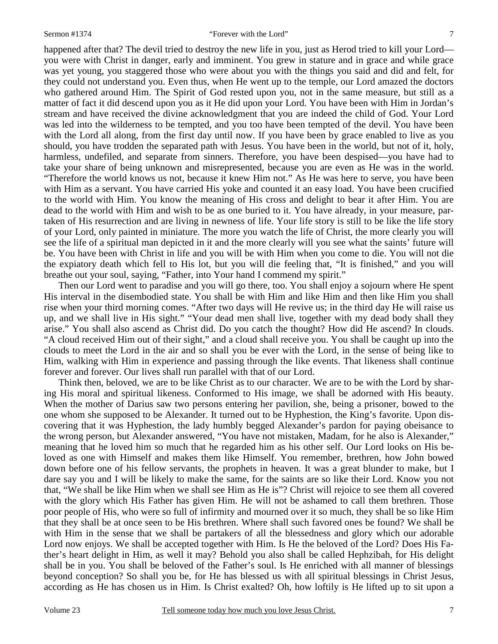happened after that? The devil tried to destroy the new life in you, just as Herod tried to kill your Lord you were with Christ in danger, early and imminent. You grew in stature and in grace and while grace was yet young, you staggered those who were about you with the things you said and did and felt, for they could not understand you. Even thus, when He went up to the temple, our Lord amazed the doctors who gathered around Him. The Spirit of God rested upon you, not in the same measure, but still as a matter of fact it did descend upon you as it He did upon your Lord. You have been with Him in Jordan's stream and have received the divine acknowledgment that you are indeed the child of God. Your Lord was led into the wilderness to be tempted, and you too have been tempted of the devil. You have been with the Lord all along, from the first day until now. If you have been by grace enabled to live as you should, you have trodden the separated path with Jesus. You have been in the world, but not of it, holy, harmless, undefiled, and separate from sinners. Therefore, you have been despised—you have had to take your share of being unknown and misrepresented, because you are even as He was in the world. "Therefore the world knows us not, because it knew Him not." As He was here to serve, you have been with Him as a servant. You have carried His yoke and counted it an easy load. You have been crucified to the world with Him. You know the meaning of His cross and delight to bear it after Him. You are dead to the world with Him and wish to be as one buried to it. You have already, in your measure, partaken of His resurrection and are living in newness of life. Your life story is still to be like the life story of your Lord, only painted in miniature. The more you watch the life of Christ, the more clearly you will see the life of a spiritual man depicted in it and the more clearly will you see what the saints' future will be. You have been with Christ in life and you will be with Him when you come to die. You will not die the expiatory death which fell to His lot, but you will die feeling that, "It is finished," and you will breathe out your soul, saying, "Father, into Your hand I commend my spirit."

Then our Lord went to paradise and you will go there, too. You shall enjoy a sojourn where He spent His interval in the disembodied state. You shall be with Him and like Him and then like Him you shall rise when your third morning comes. "After two days will He revive us; in the third day He will raise us up, and we shall live in His sight." "Your dead men shall live, together with my dead body shall they arise." You shall also ascend as Christ did. Do you catch the thought? How did He ascend? In clouds. "A cloud received Him out of their sight," and a cloud shall receive you. You shall be caught up into the clouds to meet the Lord in the air and so shall you be ever with the Lord, in the sense of being like to Him, walking with Him in experience and passing through the like events. That likeness shall continue forever and forever. Our lives shall run parallel with that of our Lord.

Think then, beloved, we are to be like Christ as to our character. We are to be with the Lord by sharing His moral and spiritual likeness. Conformed to His image, we shall be adorned with His beauty. When the mother of Darius saw two persons entering her pavilion, she, being a prisoner, bowed to the one whom she supposed to be Alexander. It turned out to be Hyphestion, the King's favorite. Upon discovering that it was Hyphestion, the lady humbly begged Alexander's pardon for paying obeisance to the wrong person, but Alexander answered, "You have not mistaken, Madam, for he also is Alexander," meaning that he loved him so much that he regarded him as his other self. Our Lord looks on His beloved as one with Himself and makes them like Himself. You remember, brethren, how John bowed down before one of his fellow servants, the prophets in heaven. It was a great blunder to make, but I dare say you and I will be likely to make the same, for the saints are so like their Lord. Know you not that, "We shall be like Him when we shall see Him as He is"? Christ will rejoice to see them all covered with the glory which His Father has given Him. He will not be ashamed to call them brethren. Those poor people of His, who were so full of infirmity and mourned over it so much, they shall be so like Him that they shall be at once seen to be His brethren. Where shall such favored ones be found? We shall be with Him in the sense that we shall be partakers of all the blessedness and glory which our adorable Lord now enjoys. We shall be accepted together with Him. Is He the beloved of the Lord? Does His Father's heart delight in Him, as well it may? Behold you also shall be called Hephzibah, for His delight shall be in you. You shall be beloved of the Father's soul. Is He enriched with all manner of blessings beyond conception? So shall you be, for He has blessed us with all spiritual blessings in Christ Jesus, according as He has chosen us in Him. Is Christ exalted? Oh, how loftily is He lifted up to sit upon a